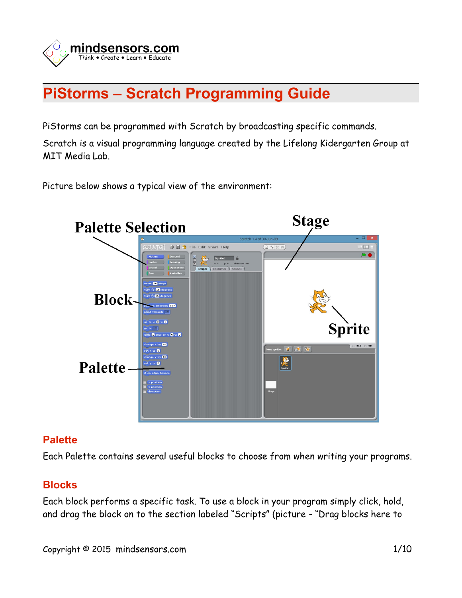

# **PiStorms – Scratch Programming Guide**

PiStorms can be programmed with Scratch by broadcasting specific commands.

Scratch is a visual programming language created by the Lifelong Kidergarten Group at MIT Media Lab.

Picture below shows a typical view of the environment:



### **Palette**

Each Palette contains several useful blocks to choose from when writing your programs.

## **Blocks**

Each block performs a specific task. To use a block in your program simply click, hold, and drag the block on to the section labeled "Scripts" (picture - "Drag blocks here to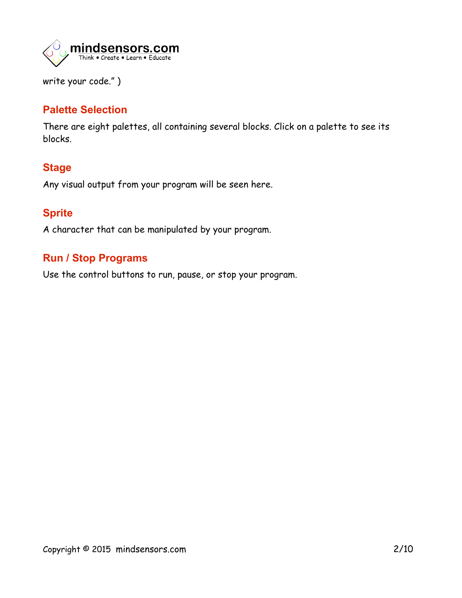

write your code." )

## **Palette Selection**

There are eight palettes, all containing several blocks. Click on a palette to see its blocks.

## **Stage**

Any visual output from your program will be seen here.

## **Sprite**

A character that can be manipulated by your program.

## **Run / Stop Programs**

Use the control buttons to run, pause, or stop your program.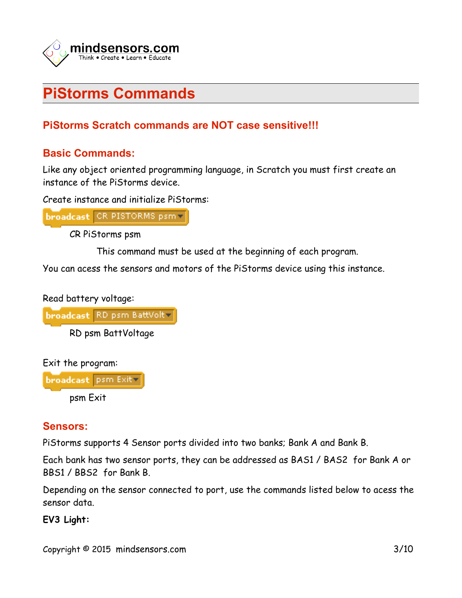

# **PiStorms Commands**

## **PiStorms Scratch commands are NOT case sensitive!!!**

## **Basic Commands:**

Like any object oriented programming language, in Scratch you must first create an instance of the PiStorms device.

Create instance and initialize PiStorms:

broadcast CR PISTORMS psm v

CR PiStorms psm

This command must be used at the beginning of each program.

You can acess the sensors and motors of the PiStorms device using this instance.



```
broadcast RD psm BattVolt-
```
RD psm BattVoltage

Exit the program:

broadcast psm Exit psm Exit

## **Sensors:**

PiStorms supports 4 Sensor ports divided into two banks; Bank A and Bank B.

Each bank has two sensor ports, they can be addressed as BAS1 / BAS2 for Bank A or BBS1 / BBS2 for Bank B.

Depending on the sensor connected to port, use the commands listed below to acess the sensor data.

**EV3 Light:**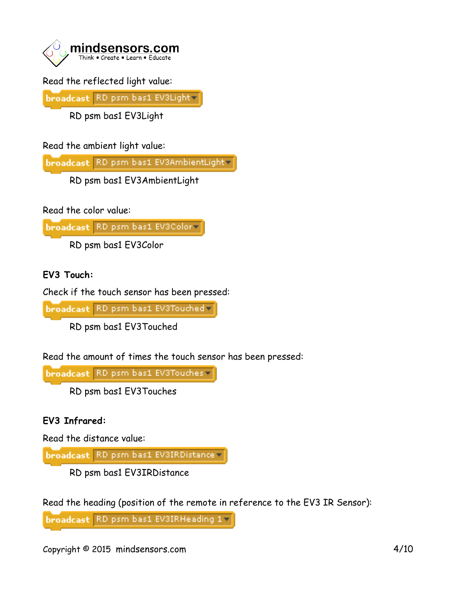

## Read the reflected light value:

broadcast RD psm bas1 EV3Lightv

RD psm bas1 EV3Light

Read the ambient light value:

broadcast RD psm bas1 EV3AmbientLight

RD psm bas1 EV3AmbientLight

Read the color value:

broadcast RD psm bas1 EV3Color

RD psm bas1 EV3Color

### **EV3 Touch:**

Check if the touch sensor has been pressed:

broadcast RD psm bas1 EV3Touched v

RD psm bas1 EV3Touched

Read the amount of times the touch sensor has been pressed:

broadcast RD psm bas1 EV3Touches

RD psm bas1 EV3Touches

### **EV3 Infrared:**

Read the distance value:

broadcast RD psm bas1 EV3IRDistance

RD psm bas1 EV3IRDistance

Read the heading (position of the remote in reference to the EV3 IR Sensor):

broadcast RD psm bas1 EV3IRHeading 1-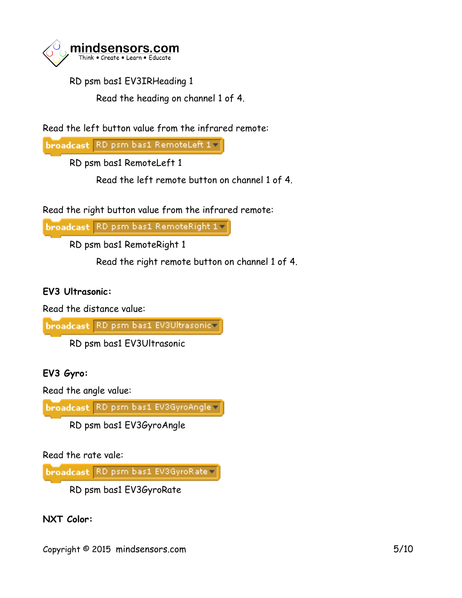

RD psm bas1 EV3IRHeading 1

Read the heading on channel 1 of 4.

Read the left button value from the infrared remote:

broadcast RD psm bas1 RemoteLeft 17

RD psm bas1 RemoteLeft 1

Read the left remote button on channel 1 of 4.

Read the right button value from the infrared remote:

broadcast RD psm bas1 RemoteRight 1

RD psm bas1 RemoteRight 1

Read the right remote button on channel 1 of 4.

### **EV3 Ultrasonic:**

Read the distance value:

broadcast RD psm bas1 EV3Ultrasonicv

RD psm bas1 EV3Ultrasonic

**EV3 Gyro:**

Read the angle value:

broadcast RD psm bas1 EV3GyroAngle

RD psm bas1 EV3GyroAngle

Read the rate vale:

broadcast RD psm bas1 EV3GyroRate v

RD psm bas1 EV3GyroRate

**NXT Color:**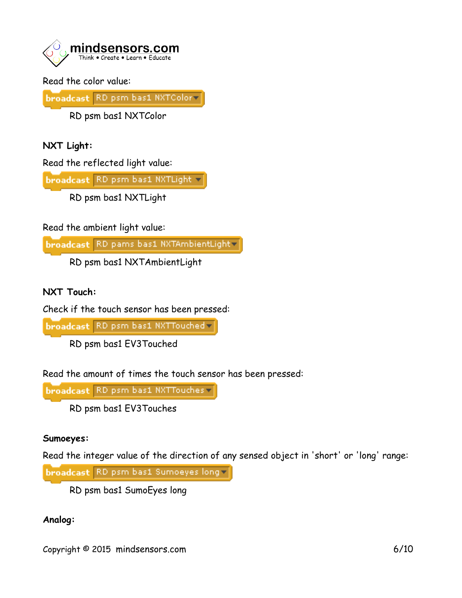

Read the color value:

broadcast RD psm bas1 NXTColor

RD psm bas1 NXTColor

**NXT Light:**

Read the reflected light value:

broadcast RD psm bas1 NXTLight v

RD psm bas1 NXTLight

Read the ambient light value:

broadcast RD pams bas1 NXTAmbientLight

RD psm bas1 NXTAmbientLight

**NXT Touch:**

Check if the touch sensor has been pressed:

broadcast RD psm bas1 NXTTouched v

RD psm bas1 EV3Touched

Read the amount of times the touch sensor has been pressed:

broadcast RD psm bas1 NXTTouches

RD psm bas1 EV3Touches

#### **Sumoeyes:**

Read the integer value of the direction of any sensed object in 'short' or 'long' range:

broadcast RD psm bas1 Sumoeyes long

RD psm bas1 SumoEyes long

### **Analog:**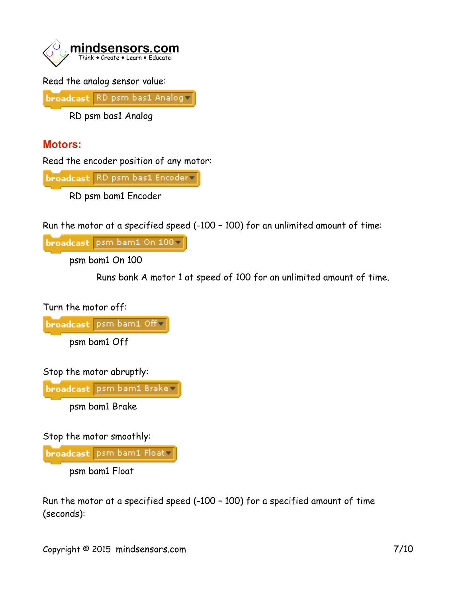

Read the analog sensor value:

broadcast RD psm bas1 Analogy

RD psm bas1 Analog

## **Motors:**

Read the encoder position of any motor:

broadcast RD psm bas1 Encoder

RD psm bam1 Encoder

Run the motor at a specified speed (-100 – 100) for an unlimited amount of time:

broadcast psm bam1 On 100-

psm bam1 On 100

Runs bank A motor 1 at speed of 100 for an unlimited amount of time.

Turn the motor off:

broadcast psm bam1 Off-

psm bam1 Off

Stop the motor abruptly:

broadcast psm bam1 Brake v

psm bam1 Brake

Stop the motor smoothly:

broadcast psm bam1 Float-

psm bam1 Float

Run the motor at a specified speed (-100 – 100) for a specified amount of time (seconds):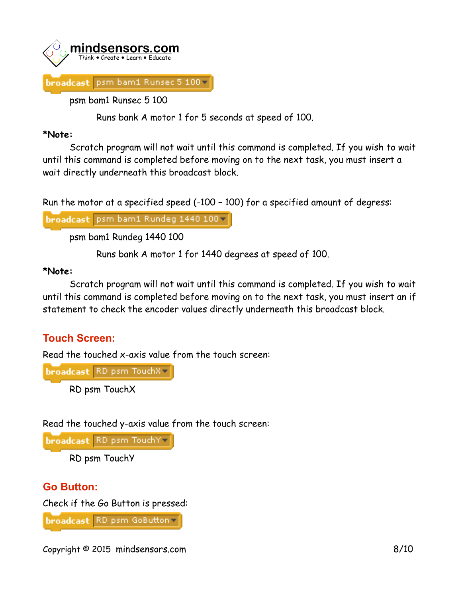

psm bam1 Runsec 5 100

Runs bank A motor 1 for 5 seconds at speed of 100.

#### **\*Note:**

Scratch program will not wait until this command is completed. If you wish to wait until this command is completed before moving on to the next task, you must insert a wait directly underneath this broadcast block.

Run the motor at a specified speed (-100 – 100) for a specified amount of degress:

broadcast psm bam1 Rundeg 1440 100 v

psm bam1 Rundeg 1440 100

Runs bank A motor 1 for 1440 degrees at speed of 100.

### **\*Note:**

Scratch program will not wait until this command is completed. If you wish to wait until this command is completed before moving on to the next task, you must insert an if statement to check the encoder values directly underneath this broadcast block.

## **Touch Screen:**

Read the touched x-axis value from the touch screen:

broadcast RD psm TouchX v

RD psm TouchX

Read the touched y-axis value from the touch screen:

broadcast RD psm TouchYv

RD psm TouchY

## **Go Button:**

Check if the Go Button is pressed:

broadcast RD psm GoButton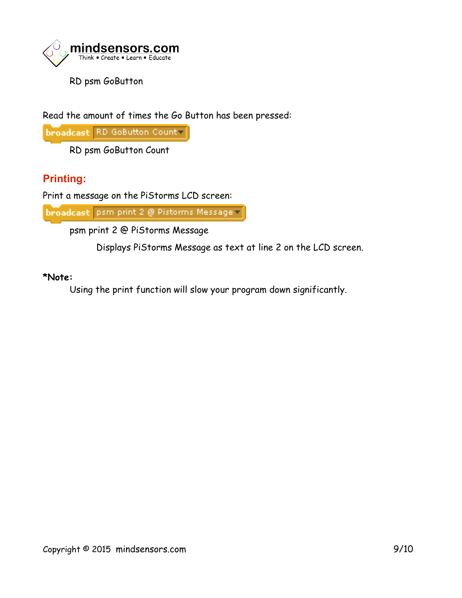

RD psm GoButton

Read the amount of times the Go Button has been pressed:

broadcast RD GoButton Count

RD psm GoButton Count

## **Printing:**

Print a message on the PiStorms LCD screen:

broadcast psm print 2 @ Pistorms Message =

psm print 2 @ PiStorms Message

Displays PiStorms Message as text at line 2 on the LCD screen.

#### **\*Note:**

Using the print function will slow your program down significantly.